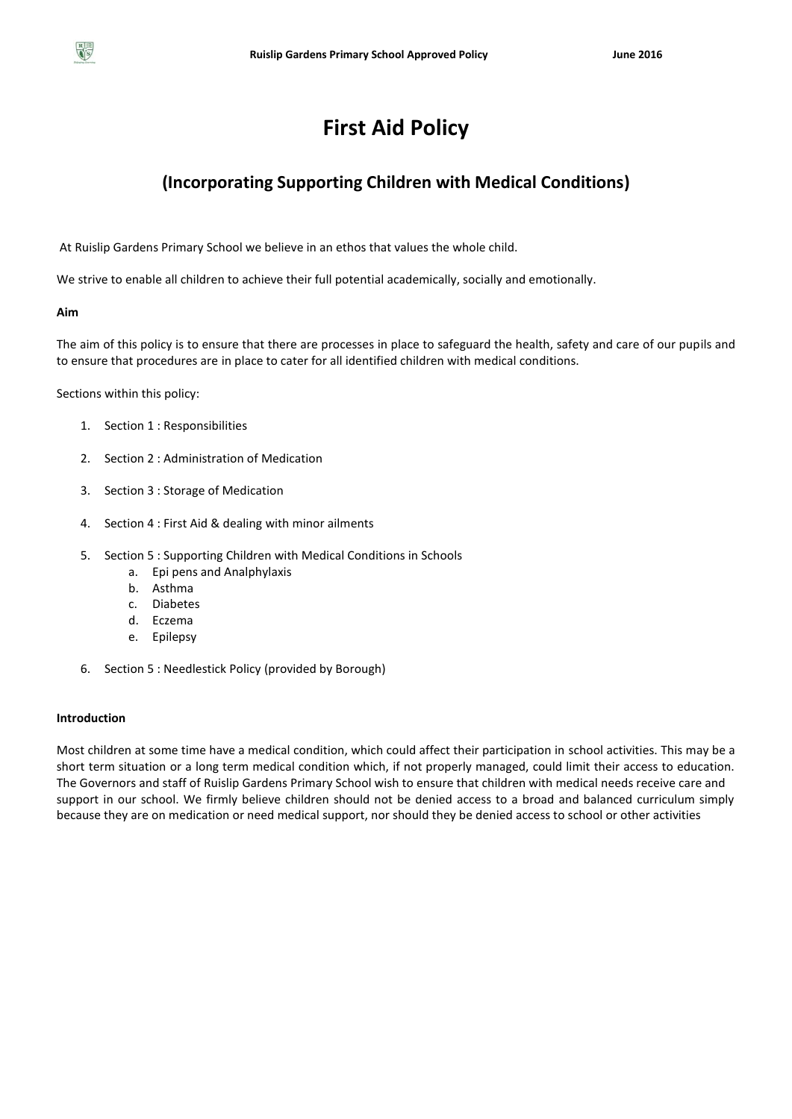

# **(Incorporating Supporting Children with Medical Conditions)**

At Ruislip Gardens Primary School we believe in an ethos that values the whole child.

We strive to enable all children to achieve their full potential academically, socially and emotionally.

**Aim**

The aim of this policy is to ensure that there are processes in place to safeguard the health, safety and care of our pupils and to ensure that procedures are in place to cater for all identified children with medical conditions.

Sections within this policy:

- 1. Section 1 : Responsibilities
- 2. Section 2 : Administration of Medication
- 3. Section 3 : Storage of Medication
- 4. Section 4 : First Aid & dealing with minor ailments
- 5. Section 5 : Supporting Children with Medical Conditions in Schools
	- a. Epi pens and Analphylaxis
	- b. Asthma
	- c. Diabetes
	- d. Eczema
	- e. Epilepsy
- 6. Section 5 : Needlestick Policy (provided by Borough)

# **Introduction**

Most children at some time have a medical condition, which could affect their participation in school activities. This may be a short term situation or a long term medical condition which, if not properly managed, could limit their access to education. The Governors and staff of Ruislip Gardens Primary School wish to ensure that children with medical needs receive care and support in our school. We firmly believe children should not be denied access to a broad and balanced curriculum simply because they are on medication or need medical support, nor should they be denied access to school or other activities

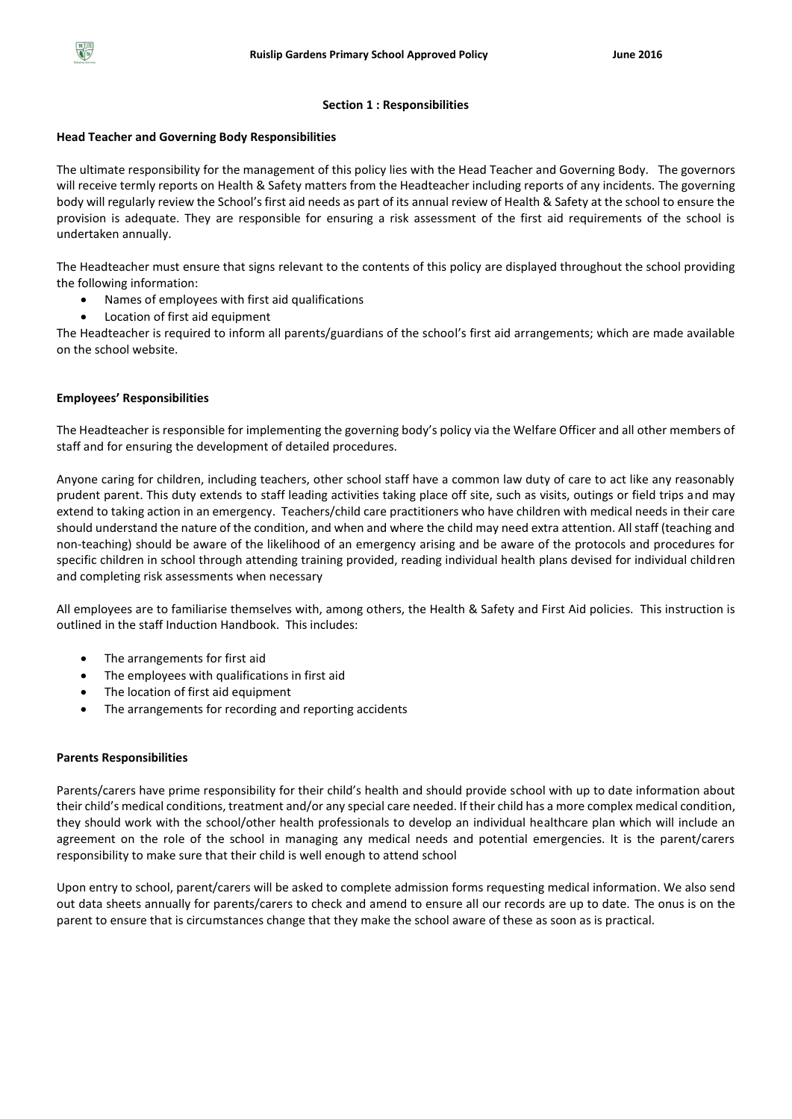

# **Section 1 : Responsibilities**

# **Head Teacher and Governing Body Responsibilities**

The ultimate responsibility for the management of this policy lies with the Head Teacher and Governing Body. The governors will receive termly reports on Health & Safety matters from the Headteacher including reports of any incidents. The governing body will regularly review the School's first aid needs as part of its annual review of Health & Safety at the school to ensure the provision is adequate. They are responsible for ensuring a risk assessment of the first aid requirements of the school is undertaken annually.

The Headteacher must ensure that signs relevant to the contents of this policy are displayed throughout the school providing the following information:

- Names of employees with first aid qualifications
- Location of first aid equipment

The Headteacher is required to inform all parents/guardians of the school's first aid arrangements; which are made available on the school website.

# **Employees' Responsibilities**

The Headteacher is responsible for implementing the governing body's policy via the Welfare Officer and all other members of staff and for ensuring the development of detailed procedures.

Anyone caring for children, including teachers, other school staff have a common law duty of care to act like any reasonably prudent parent. This duty extends to staff leading activities taking place off site, such as visits, outings or field trips and may extend to taking action in an emergency. Teachers/child care practitioners who have children with medical needs in their care should understand the nature of the condition, and when and where the child may need extra attention. All staff (teaching and non-teaching) should be aware of the likelihood of an emergency arising and be aware of the protocols and procedures for specific children in school through attending training provided, reading individual health plans devised for individual children and completing risk assessments when necessary

All employees are to familiarise themselves with, among others, the Health & Safety and First Aid policies. This instruction is outlined in the staff Induction Handbook. This includes:

- The arrangements for first aid
- The employees with qualifications in first aid
- The location of first aid equipment
- The arrangements for recording and reporting accidents

# **Parents Responsibilities**

Parents/carers have prime responsibility for their child's health and should provide school with up to date information about their child's medical conditions, treatment and/or any special care needed. If their child has a more complex medical condition, they should work with the school/other health professionals to develop an individual healthcare plan which will include an agreement on the role of the school in managing any medical needs and potential emergencies. It is the parent/carers responsibility to make sure that their child is well enough to attend school

Upon entry to school, parent/carers will be asked to complete admission forms requesting medical information. We also send out data sheets annually for parents/carers to check and amend to ensure all our records are up to date. The onus is on the parent to ensure that is circumstances change that they make the school aware of these as soon as is practical.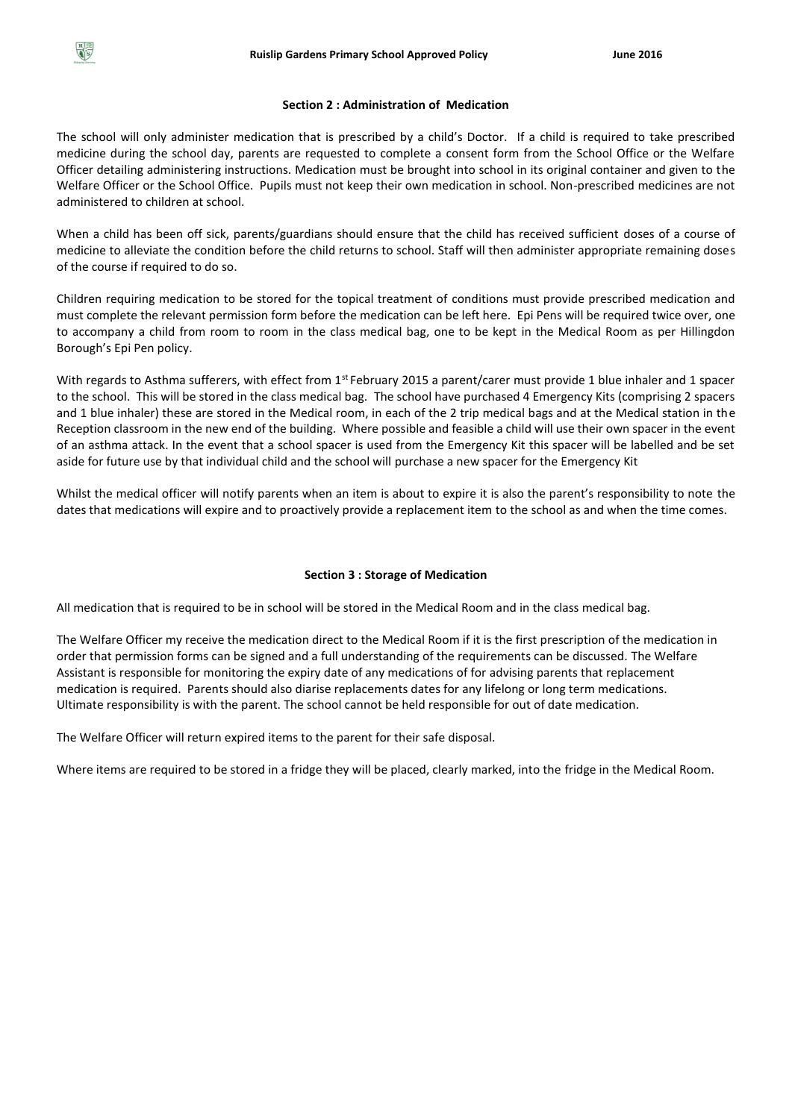#### **Section 2 : Administration of Medication**

The school will only administer medication that is prescribed by a child's Doctor. If a child is required to take prescribed medicine during the school day, parents are requested to complete a consent form from the School Office or the Welfare Officer detailing administering instructions. Medication must be brought into school in its original container and given to the Welfare Officer or the School Office. Pupils must not keep their own medication in school. Non-prescribed medicines are not administered to children at school.

When a child has been off sick, parents/guardians should ensure that the child has received sufficient doses of a course of medicine to alleviate the condition before the child returns to school. Staff will then administer appropriate remaining doses of the course if required to do so.

Children requiring medication to be stored for the topical treatment of conditions must provide prescribed medication and must complete the relevant permission form before the medication can be left here. Epi Pens will be required twice over, one to accompany a child from room to room in the class medical bag, one to be kept in the Medical Room as per Hillingdon Borough's Epi Pen policy.

With regards to Asthma sufferers, with effect from 1<sup>st</sup> February 2015 a parent/carer must provide 1 blue inhaler and 1 spacer to the school. This will be stored in the class medical bag. The school have purchased 4 Emergency Kits (comprising 2 spacers and 1 blue inhaler) these are stored in the Medical room, in each of the 2 trip medical bags and at the Medical station in the Reception classroom in the new end of the building. Where possible and feasible a child will use their own spacer in the event of an asthma attack. In the event that a school spacer is used from the Emergency Kit this spacer will be labelled and be set aside for future use by that individual child and the school will purchase a new spacer for the Emergency Kit

Whilst the medical officer will notify parents when an item is about to expire it is also the parent's responsibility to note the dates that medications will expire and to proactively provide a replacement item to the school as and when the time comes.

## **Section 3 : Storage of Medication**

All medication that is required to be in school will be stored in the Medical Room and in the class medical bag.

The Welfare Officer my receive the medication direct to the Medical Room if it is the first prescription of the medication in order that permission forms can be signed and a full understanding of the requirements can be discussed. The Welfare Assistant is responsible for monitoring the expiry date of any medications of for advising parents that replacement medication is required. Parents should also diarise replacements dates for any lifelong or long term medications. Ultimate responsibility is with the parent. The school cannot be held responsible for out of date medication.

The Welfare Officer will return expired items to the parent for their safe disposal.

Where items are required to be stored in a fridge they will be placed, clearly marked, into the fridge in the Medical Room.

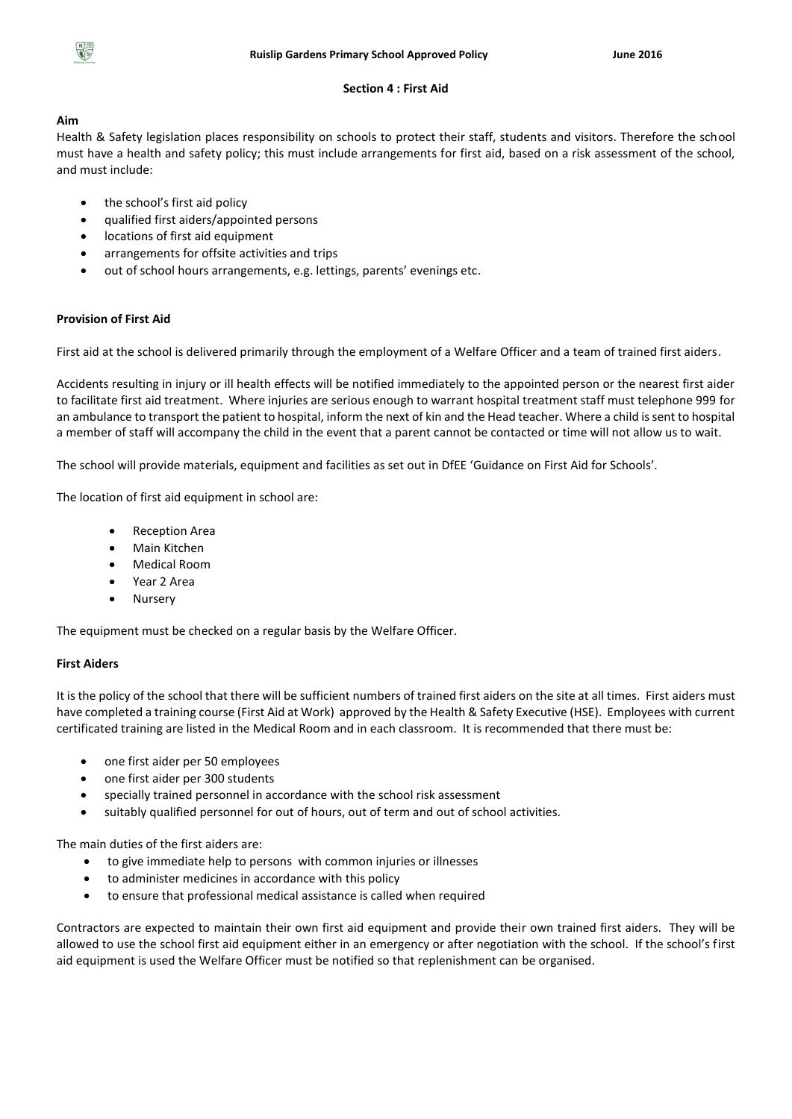# **Section 4 : First Aid**

# **Aim**

Health & Safety legislation places responsibility on schools to protect their staff, students and visitors. Therefore the school must have a health and safety policy; this must include arrangements for first aid, based on a risk assessment of the school, and must include:

- the school's first aid policy
- qualified first aiders/appointed persons
- locations of first aid equipment
- arrangements for offsite activities and trips
- out of school hours arrangements, e.g. lettings, parents' evenings etc.

# **Provision of First Aid**

First aid at the school is delivered primarily through the employment of a Welfare Officer and a team of trained first aiders.

Accidents resulting in injury or ill health effects will be notified immediately to the appointed person or the nearest first aider to facilitate first aid treatment. Where injuries are serious enough to warrant hospital treatment staff must telephone 999 for an ambulance to transport the patient to hospital, inform the next of kin and the Head teacher. Where a child is sent to hospital a member of staff will accompany the child in the event that a parent cannot be contacted or time will not allow us to wait.

The school will provide materials, equipment and facilities as set out in DfEE 'Guidance on First Aid for Schools'.

The location of first aid equipment in school are:

- Reception Area
- Main Kitchen
- Medical Room
- Year 2 Area
- Nursery

The equipment must be checked on a regular basis by the Welfare Officer.

# **First Aiders**

It is the policy of the school that there will be sufficient numbers of trained first aiders on the site at all times. First aiders must have completed a training course (First Aid at Work) approved by the Health & Safety Executive (HSE). Employees with current certificated training are listed in the Medical Room and in each classroom. It is recommended that there must be:

- one first aider per 50 employees
- one first aider per 300 students
- specially trained personnel in accordance with the school risk assessment
- suitably qualified personnel for out of hours, out of term and out of school activities.

The main duties of the first aiders are:

- to give immediate help to persons with common injuries or illnesses
- to administer medicines in accordance with this policy
- to ensure that professional medical assistance is called when required

Contractors are expected to maintain their own first aid equipment and provide their own trained first aiders. They will be allowed to use the school first aid equipment either in an emergency or after negotiation with the school. If the school's first aid equipment is used the Welfare Officer must be notified so that replenishment can be organised.

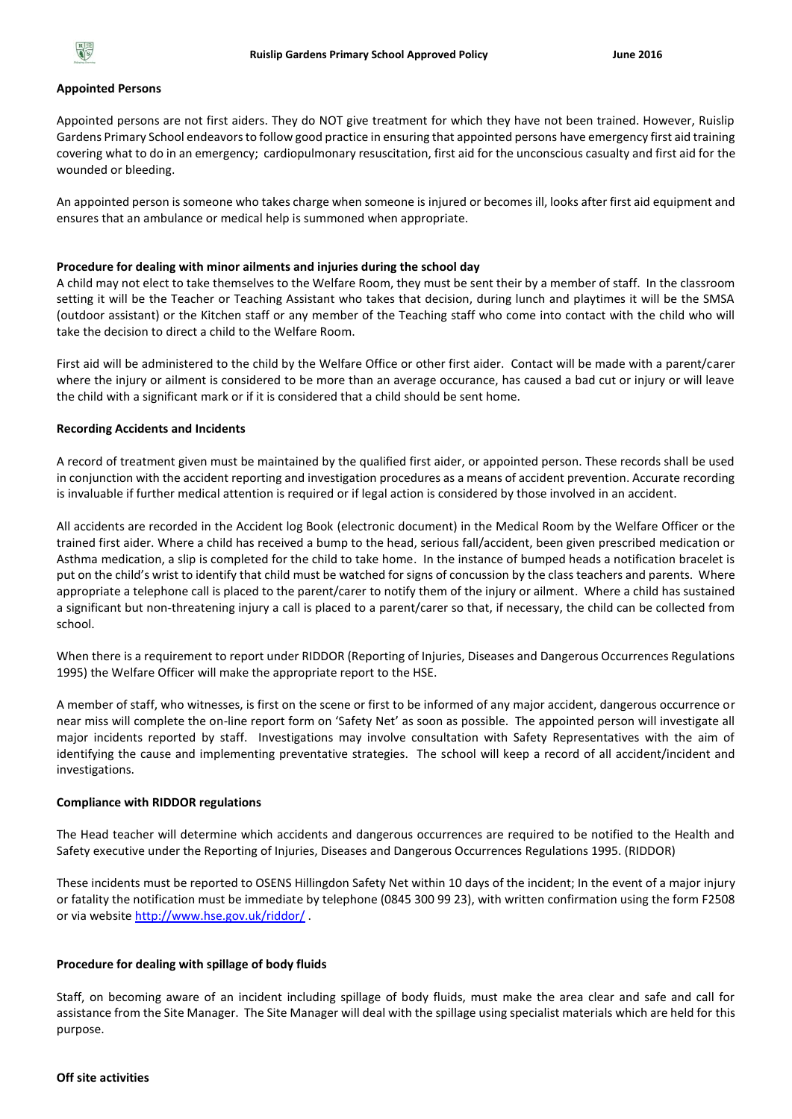

#### **Appointed Persons**

Appointed persons are not first aiders. They do NOT give treatment for which they have not been trained. However, Ruislip Gardens Primary School endeavors to follow good practice in ensuring that appointed persons have emergency first aid training covering what to do in an emergency; cardiopulmonary resuscitation, first aid for the unconscious casualty and first aid for the wounded or bleeding.

An appointed person is someone who takes charge when someone is injured or becomes ill, looks after first aid equipment and ensures that an ambulance or medical help is summoned when appropriate.

#### **Procedure for dealing with minor ailments and injuries during the school day**

A child may not elect to take themselves to the Welfare Room, they must be sent their by a member of staff. In the classroom setting it will be the Teacher or Teaching Assistant who takes that decision, during lunch and playtimes it will be the SMSA (outdoor assistant) or the Kitchen staff or any member of the Teaching staff who come into contact with the child who will take the decision to direct a child to the Welfare Room.

First aid will be administered to the child by the Welfare Office or other first aider. Contact will be made with a parent/carer where the injury or ailment is considered to be more than an average occurance, has caused a bad cut or injury or will leave the child with a significant mark or if it is considered that a child should be sent home.

#### **Recording Accidents and Incidents**

A record of treatment given must be maintained by the qualified first aider, or appointed person. These records shall be used in conjunction with the accident reporting and investigation procedures as a means of accident prevention. Accurate recording is invaluable if further medical attention is required or if legal action is considered by those involved in an accident.

All accidents are recorded in the Accident log Book (electronic document) in the Medical Room by the Welfare Officer or the trained first aider. Where a child has received a bump to the head, serious fall/accident, been given prescribed medication or Asthma medication, a slip is completed for the child to take home. In the instance of bumped heads a notification bracelet is put on the child's wrist to identify that child must be watched for signs of concussion by the class teachers and parents. Where appropriate a telephone call is placed to the parent/carer to notify them of the injury or ailment. Where a child has sustained a significant but non-threatening injury a call is placed to a parent/carer so that, if necessary, the child can be collected from school.

When there is a requirement to report under RIDDOR (Reporting of Injuries, Diseases and Dangerous Occurrences Regulations 1995) the Welfare Officer will make the appropriate report to the HSE.

A member of staff, who witnesses, is first on the scene or first to be informed of any major accident, dangerous occurrence or near miss will complete the on-line report form on 'Safety Net' as soon as possible. The appointed person will investigate all major incidents reported by staff. Investigations may involve consultation with Safety Representatives with the aim of identifying the cause and implementing preventative strategies. The school will keep a record of all accident/incident and investigations.

#### **Compliance with RIDDOR regulations**

The Head teacher will determine which accidents and dangerous occurrences are required to be notified to the Health and Safety executive under the Reporting of Injuries, Diseases and Dangerous Occurrences Regulations 1995. (RIDDOR)

These incidents must be reported to OSENS Hillingdon Safety Net within 10 days of the incident; In the event of a major injury or fatality the notification must be immediate by telephone (0845 300 99 23), with written confirmation using the form F2508 or via websit[e http://www.hse.gov.uk/riddor/](http://www.hse.gov.uk/riddor/)

#### **Procedure for dealing with spillage of body fluids**

Staff, on becoming aware of an incident including spillage of body fluids, must make the area clear and safe and call for assistance from the Site Manager. The Site Manager will deal with the spillage using specialist materials which are held for this purpose.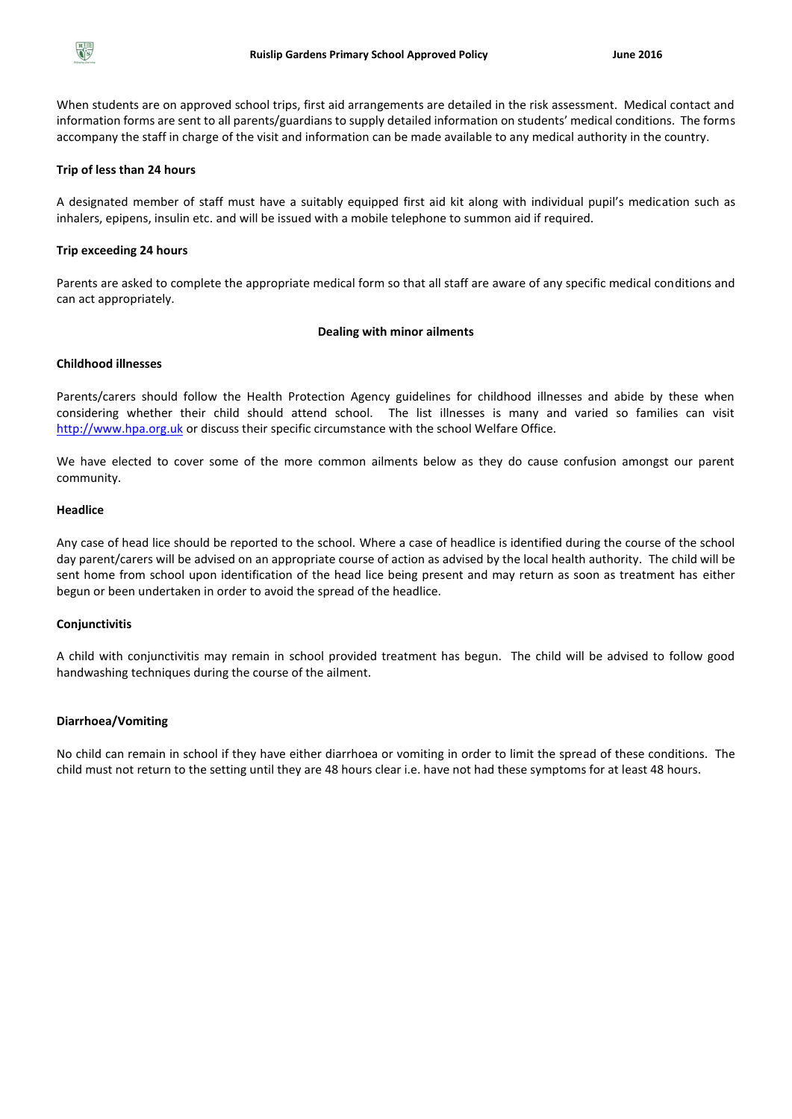

When students are on approved school trips, first aid arrangements are detailed in the risk assessment. Medical contact and information forms are sent to all parents/guardians to supply detailed information on students' medical conditions. The forms accompany the staff in charge of the visit and information can be made available to any medical authority in the country.

#### **Trip of less than 24 hours**

A designated member of staff must have a suitably equipped first aid kit along with individual pupil's medication such as inhalers, epipens, insulin etc. and will be issued with a mobile telephone to summon aid if required.

#### **Trip exceeding 24 hours**

Parents are asked to complete the appropriate medical form so that all staff are aware of any specific medical conditions and can act appropriately.

#### **Dealing with minor ailments**

# **Childhood illnesses**

Parents/carers should follow the Health Protection Agency guidelines for childhood illnesses and abide by these when considering whether their child should attend school. The list illnesses is many and varied so families can visit [http://www.hpa.org.uk](http://www.hpa.org.uk/) or discuss their specific circumstance with the school Welfare Office.

We have elected to cover some of the more common ailments below as they do cause confusion amongst our parent community.

#### **Headlice**

Any case of head lice should be reported to the school. Where a case of headlice is identified during the course of the school day parent/carers will be advised on an appropriate course of action as advised by the local health authority. The child will be sent home from school upon identification of the head lice being present and may return as soon as treatment has either begun or been undertaken in order to avoid the spread of the headlice.

## **Conjunctivitis**

A child with conjunctivitis may remain in school provided treatment has begun. The child will be advised to follow good handwashing techniques during the course of the ailment.

## **Diarrhoea/Vomiting**

No child can remain in school if they have either diarrhoea or vomiting in order to limit the spread of these conditions. The child must not return to the setting until they are 48 hours clear i.e. have not had these symptoms for at least 48 hours.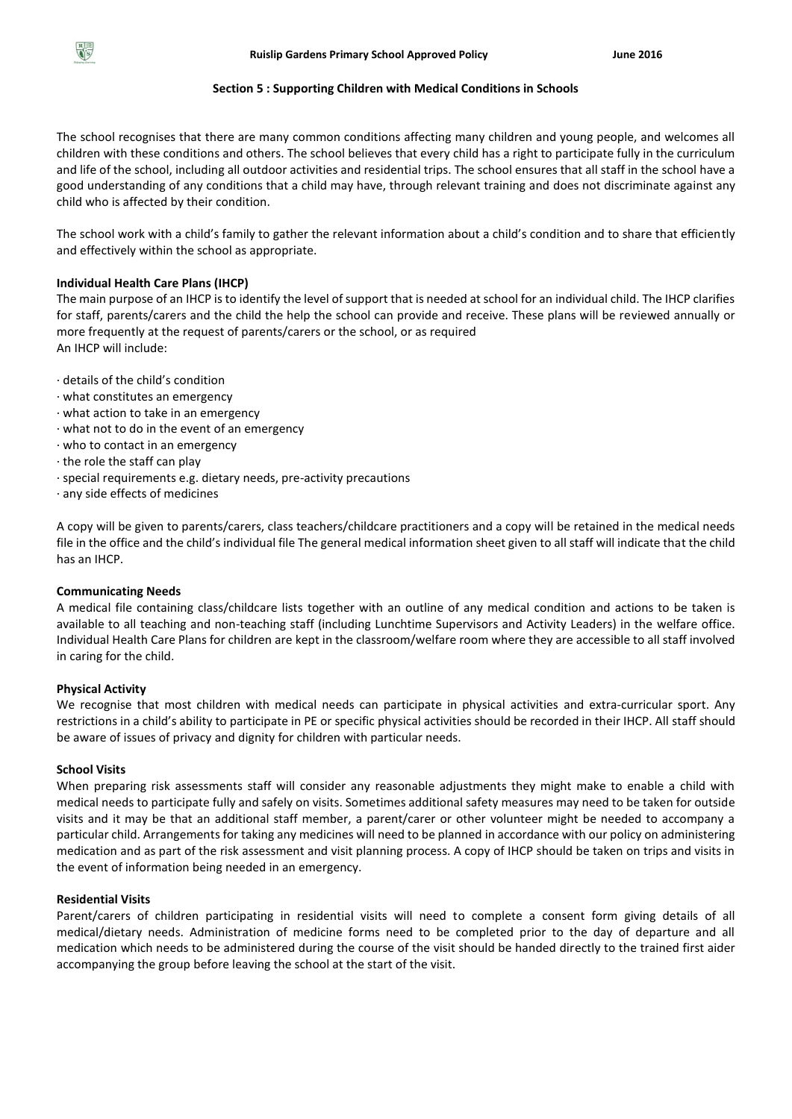# **Section 5 : Supporting Children with Medical Conditions in Schools**

The school recognises that there are many common conditions affecting many children and young people, and welcomes all children with these conditions and others. The school believes that every child has a right to participate fully in the curriculum and life of the school, including all outdoor activities and residential trips. The school ensures that all staff in the school have a good understanding of any conditions that a child may have, through relevant training and does not discriminate against any child who is affected by their condition.

The school work with a child's family to gather the relevant information about a child's condition and to share that efficiently and effectively within the school as appropriate.

# **Individual Health Care Plans (IHCP)**

The main purpose of an IHCP is to identify the level of support that is needed at school for an individual child. The IHCP clarifies for staff, parents/carers and the child the help the school can provide and receive. These plans will be reviewed annually or more frequently at the request of parents/carers or the school, or as required An IHCP will include:

- · details of the child's condition
- · what constitutes an emergency
- · what action to take in an emergency
- · what not to do in the event of an emergency
- · who to contact in an emergency
- · the role the staff can play
- · special requirements e.g. dietary needs, pre-activity precautions
- · any side effects of medicines

A copy will be given to parents/carers, class teachers/childcare practitioners and a copy will be retained in the medical needs file in the office and the child's individual file The general medical information sheet given to all staff will indicate that the child has an IHCP.

## **Communicating Needs**

A medical file containing class/childcare lists together with an outline of any medical condition and actions to be taken is available to all teaching and non-teaching staff (including Lunchtime Supervisors and Activity Leaders) in the welfare office. Individual Health Care Plans for children are kept in the classroom/welfare room where they are accessible to all staff involved in caring for the child.

## **Physical Activity**

We recognise that most children with medical needs can participate in physical activities and extra-curricular sport. Any restrictions in a child's ability to participate in PE or specific physical activities should be recorded in their IHCP. All staff should be aware of issues of privacy and dignity for children with particular needs.

## **School Visits**

When preparing risk assessments staff will consider any reasonable adjustments they might make to enable a child with medical needs to participate fully and safely on visits. Sometimes additional safety measures may need to be taken for outside visits and it may be that an additional staff member, a parent/carer or other volunteer might be needed to accompany a particular child. Arrangements for taking any medicines will need to be planned in accordance with our policy on administering medication and as part of the risk assessment and visit planning process. A copy of IHCP should be taken on trips and visits in the event of information being needed in an emergency.

# **Residential Visits**

Parent/carers of children participating in residential visits will need to complete a consent form giving details of all medical/dietary needs. Administration of medicine forms need to be completed prior to the day of departure and all medication which needs to be administered during the course of the visit should be handed directly to the trained first aider accompanying the group before leaving the school at the start of the visit.

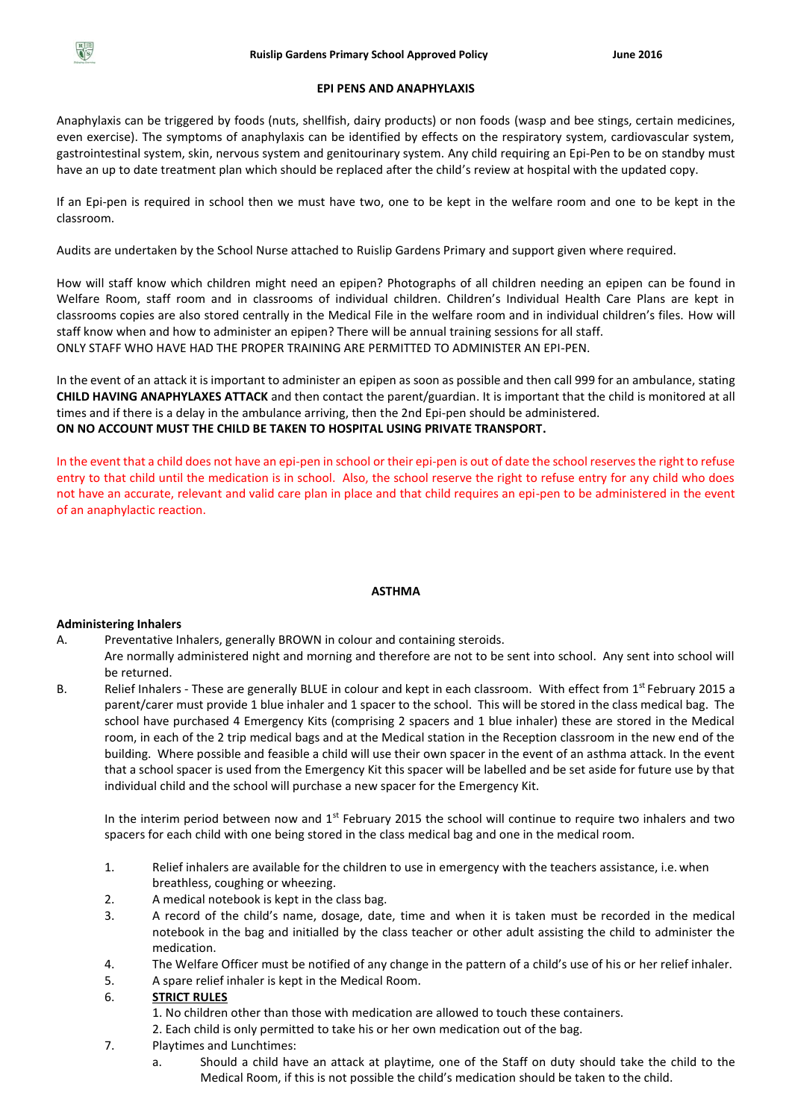

#### **EPI PENS AND ANAPHYLAXIS**

Anaphylaxis can be triggered by foods (nuts, shellfish, dairy products) or non foods (wasp and bee stings, certain medicines, even exercise). The symptoms of anaphylaxis can be identified by effects on the respiratory system, cardiovascular system, gastrointestinal system, skin, nervous system and genitourinary system. Any child requiring an Epi-Pen to be on standby must have an up to date treatment plan which should be replaced after the child's review at hospital with the updated copy.

If an Epi-pen is required in school then we must have two, one to be kept in the welfare room and one to be kept in the classroom.

Audits are undertaken by the School Nurse attached to Ruislip Gardens Primary and support given where required.

How will staff know which children might need an epipen? Photographs of all children needing an epipen can be found in Welfare Room, staff room and in classrooms of individual children. Children's Individual Health Care Plans are kept in classrooms copies are also stored centrally in the Medical File in the welfare room and in individual children's files. How will staff know when and how to administer an epipen? There will be annual training sessions for all staff. ONLY STAFF WHO HAVE HAD THE PROPER TRAINING ARE PERMITTED TO ADMINISTER AN EPI-PEN.

In the event of an attack it is important to administer an epipen as soon as possible and then call 999 for an ambulance, stating **CHILD HAVING ANAPHYLAXES ATTACK** and then contact the parent/guardian. It is important that the child is monitored at all times and if there is a delay in the ambulance arriving, then the 2nd Epi-pen should be administered. **ON NO ACCOUNT MUST THE CHILD BE TAKEN TO HOSPITAL USING PRIVATE TRANSPORT.**

In the event that a child does not have an epi-pen in school or their epi-pen is out of date the school reserves the right to refuse entry to that child until the medication is in school. Also, the school reserve the right to refuse entry for any child who does not have an accurate, relevant and valid care plan in place and that child requires an epi-pen to be administered in the event of an anaphylactic reaction.

## **ASTHMA**

## **Administering Inhalers**

- A. Preventative Inhalers, generally BROWN in colour and containing steroids.
- Are normally administered night and morning and therefore are not to be sent into school. Any sent into school will be returned.
- B. Relief Inhalers These are generally BLUE in colour and kept in each classroom. With effect from 1<sup>st</sup> February 2015 a parent/carer must provide 1 blue inhaler and 1 spacer to the school. This will be stored in the class medical bag. The school have purchased 4 Emergency Kits (comprising 2 spacers and 1 blue inhaler) these are stored in the Medical room, in each of the 2 trip medical bags and at the Medical station in the Reception classroom in the new end of the building. Where possible and feasible a child will use their own spacer in the event of an asthma attack. In the event that a school spacer is used from the Emergency Kit this spacer will be labelled and be set aside for future use by that individual child and the school will purchase a new spacer for the Emergency Kit.

In the interim period between now and  $1<sup>st</sup>$  February 2015 the school will continue to require two inhalers and two spacers for each child with one being stored in the class medical bag and one in the medical room.

- 1. Relief inhalers are available for the children to use in emergency with the teachers assistance, i.e.when breathless, coughing or wheezing.
- 2. A medical notebook is kept in the class bag.
- 3. A record of the child's name, dosage, date, time and when it is taken must be recorded in the medical notebook in the bag and initialled by the class teacher or other adult assisting the child to administer the medication.
- 4. The Welfare Officer must be notified of any change in the pattern of a child's use of his or her relief inhaler.
- 5. A spare relief inhaler is kept in the Medical Room.

# 6. **STRICT RULES**

1. No children other than those with medication are allowed to touch these containers.

- 2. Each child is only permitted to take his or her own medication out of the bag.
- 7. Playtimes and Lunchtimes:
	- a. Should a child have an attack at playtime, one of the Staff on duty should take the child to the Medical Room, if this is not possible the child's medication should be taken to the child.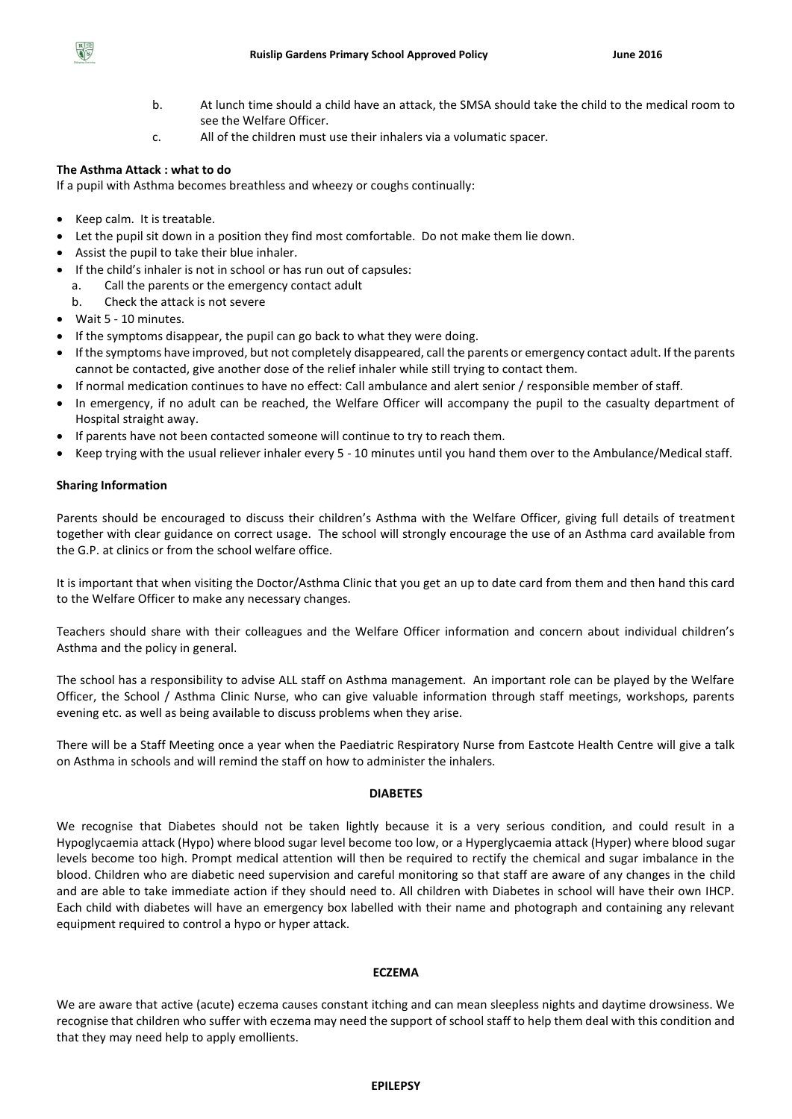- b. At lunch time should a child have an attack, the SMSA should take the child to the medical room to see the Welfare Officer.
- c. All of the children must use their inhalers via a volumatic spacer.

# **The Asthma Attack : what to do**

If a pupil with Asthma becomes breathless and wheezy or coughs continually:

- Keep calm. It is treatable.
- Let the pupil sit down in a position they find most comfortable. Do not make them lie down.
- Assist the pupil to take their blue inhaler.
- If the child's inhaler is not in school or has run out of capsules:
	- a. Call the parents or the emergency contact adult
	- b. Check the attack is not severe
- Wait 5 10 minutes.
- If the symptoms disappear, the pupil can go back to what they were doing.
- If the symptoms have improved, but not completely disappeared, call the parents or emergency contact adult. If the parents cannot be contacted, give another dose of the relief inhaler while still trying to contact them.
- If normal medication continues to have no effect: Call ambulance and alert senior / responsible member of staff.
- In emergency, if no adult can be reached, the Welfare Officer will accompany the pupil to the casualty department of Hospital straight away.
- If parents have not been contacted someone will continue to try to reach them.
- Keep trying with the usual reliever inhaler every 5 10 minutes until you hand them over to the Ambulance/Medical staff.

# **Sharing Information**

Parents should be encouraged to discuss their children's Asthma with the Welfare Officer, giving full details of treatment together with clear guidance on correct usage. The school will strongly encourage the use of an Asthma card available from the G.P. at clinics or from the school welfare office.

It is important that when visiting the Doctor/Asthma Clinic that you get an up to date card from them and then hand this card to the Welfare Officer to make any necessary changes.

Teachers should share with their colleagues and the Welfare Officer information and concern about individual children's Asthma and the policy in general.

The school has a responsibility to advise ALL staff on Asthma management. An important role can be played by the Welfare Officer, the School / Asthma Clinic Nurse, who can give valuable information through staff meetings, workshops, parents evening etc. as well as being available to discuss problems when they arise.

There will be a Staff Meeting once a year when the Paediatric Respiratory Nurse from Eastcote Health Centre will give a talk on Asthma in schools and will remind the staff on how to administer the inhalers.

## **DIABETES**

We recognise that Diabetes should not be taken lightly because it is a very serious condition, and could result in a Hypoglycaemia attack (Hypo) where blood sugar level become too low, or a Hyperglycaemia attack (Hyper) where blood sugar levels become too high. Prompt medical attention will then be required to rectify the chemical and sugar imbalance in the blood. Children who are diabetic need supervision and careful monitoring so that staff are aware of any changes in the child and are able to take immediate action if they should need to. All children with Diabetes in school will have their own IHCP. Each child with diabetes will have an emergency box labelled with their name and photograph and containing any relevant equipment required to control a hypo or hyper attack.

## **ECZEMA**

We are aware that active (acute) eczema causes constant itching and can mean sleepless nights and daytime drowsiness. We recognise that children who suffer with eczema may need the support of school staff to help them deal with this condition and that they may need help to apply emollients.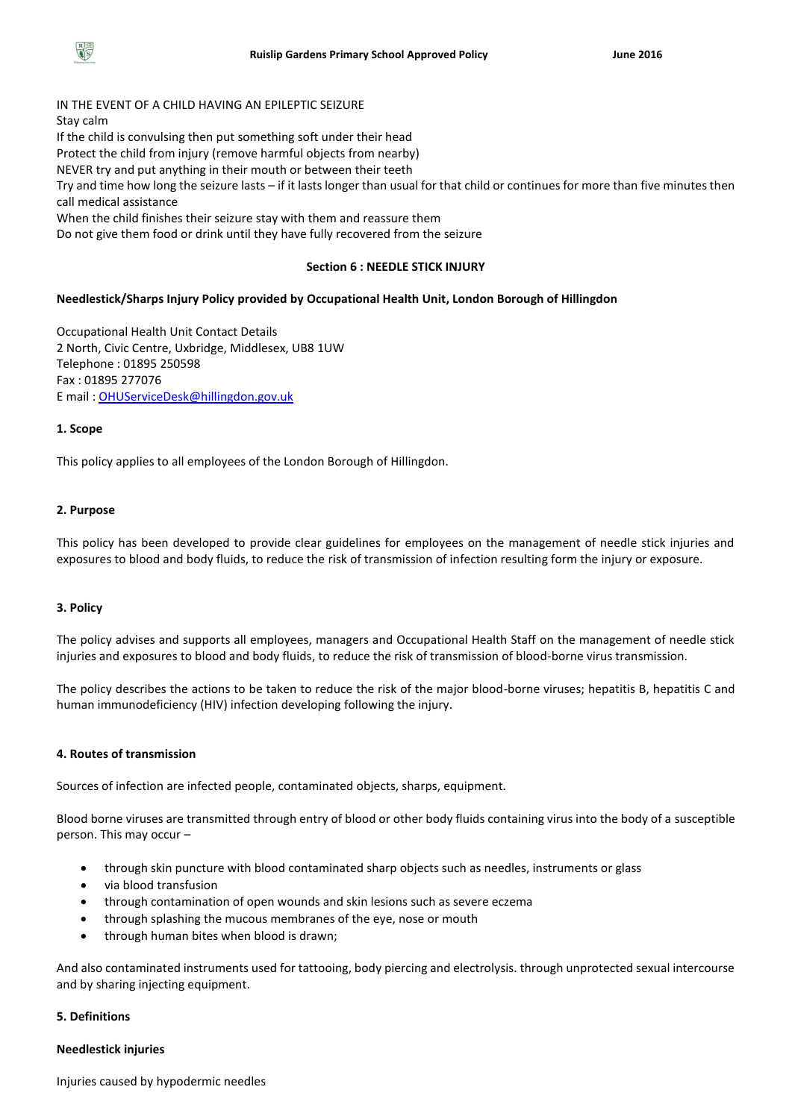

IN THE EVENT OF A CHILD HAVING AN EPILEPTIC SEIZURE Stay calm If the child is convulsing then put something soft under their head Protect the child from injury (remove harmful objects from nearby) NEVER try and put anything in their mouth or between their teeth Try and time how long the seizure lasts – if it lasts longer than usual for that child or continues for more than five minutes then call medical assistance When the child finishes their seizure stay with them and reassure them Do not give them food or drink until they have fully recovered from the seizure

#### **Section 6 : NEEDLE STICK INJURY**

## **Needlestick/Sharps Injury Policy provided by Occupational Health Unit, London Borough of Hillingdon**

Occupational Health Unit Contact Details 2 North, Civic Centre, Uxbridge, Middlesex, UB8 1UW Telephone : 01895 250598 Fax : 01895 277076 E mail : [OHUServiceDesk@hillingdon.gov.uk](mailto:OHUServiceDesk@hillingdon.gov.uk)

## **1. Scope**

This policy applies to all employees of the London Borough of Hillingdon.

#### **2. Purpose**

This policy has been developed to provide clear guidelines for employees on the management of needle stick injuries and exposures to blood and body fluids, to reduce the risk of transmission of infection resulting form the injury or exposure.

#### **3. Policy**

The policy advises and supports all employees, managers and Occupational Health Staff on the management of needle stick injuries and exposures to blood and body fluids, to reduce the risk of transmission of blood-borne virus transmission.

The policy describes the actions to be taken to reduce the risk of the major blood-borne viruses; hepatitis B, hepatitis C and human immunodeficiency (HIV) infection developing following the injury.

#### **4. Routes of transmission**

Sources of infection are infected people, contaminated objects, sharps, equipment.

Blood borne viruses are transmitted through entry of blood or other body fluids containing virus into the body of a susceptible person. This may occur –

- through skin puncture with blood contaminated sharp objects such as needles, instruments or glass
- via blood transfusion
- through contamination of open wounds and skin lesions such as severe eczema
- through splashing the mucous membranes of the eye, nose or mouth
- through human bites when blood is drawn;

And also contaminated instruments used for tattooing, body piercing and electrolysis. through unprotected sexual intercourse and by sharing injecting equipment.

## **5. Definitions**

#### **Needlestick injuries**

Injuries caused by hypodermic needles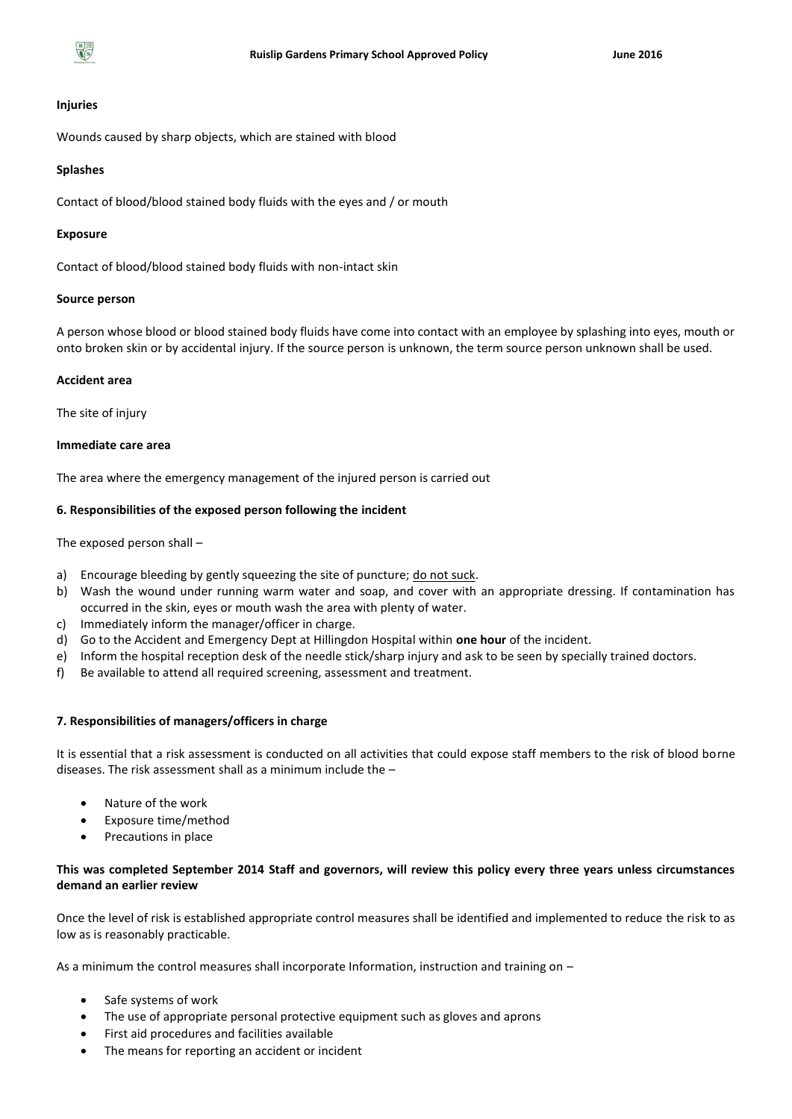

#### **Injuries**

Wounds caused by sharp objects, which are stained with blood

#### **Splashes**

Contact of blood/blood stained body fluids with the eyes and / or mouth

#### **Exposure**

Contact of blood/blood stained body fluids with non-intact skin

#### **Source person**

A person whose blood or blood stained body fluids have come into contact with an employee by splashing into eyes, mouth or onto broken skin or by accidental injury. If the source person is unknown, the term source person unknown shall be used.

#### **Accident area**

The site of injury

## **Immediate care area**

The area where the emergency management of the injured person is carried out

## **6. Responsibilities of the exposed person following the incident**

The exposed person shall –

- a) Encourage bleeding by gently squeezing the site of puncture; do not suck.
- b) Wash the wound under running warm water and soap, and cover with an appropriate dressing. If contamination has occurred in the skin, eyes or mouth wash the area with plenty of water.
- c) Immediately inform the manager/officer in charge.
- d) Go to the Accident and Emergency Dept at Hillingdon Hospital within **one hour** of the incident.
- e) Inform the hospital reception desk of the needle stick/sharp injury and ask to be seen by specially trained doctors.
- f) Be available to attend all required screening, assessment and treatment.

## **7. Responsibilities of managers/officers in charge**

It is essential that a risk assessment is conducted on all activities that could expose staff members to the risk of blood borne diseases. The risk assessment shall as a minimum include the –

- Nature of the work
- Exposure time/method
- Precautions in place

# **This was completed September 2014 Staff and governors, will review this policy every three years unless circumstances demand an earlier review**

Once the level of risk is established appropriate control measures shall be identified and implemented to reduce the risk to as low as is reasonably practicable.

As a minimum the control measures shall incorporate Information, instruction and training on –

- Safe systems of work
- The use of appropriate personal protective equipment such as gloves and aprons
- First aid procedures and facilities available
- The means for reporting an accident or incident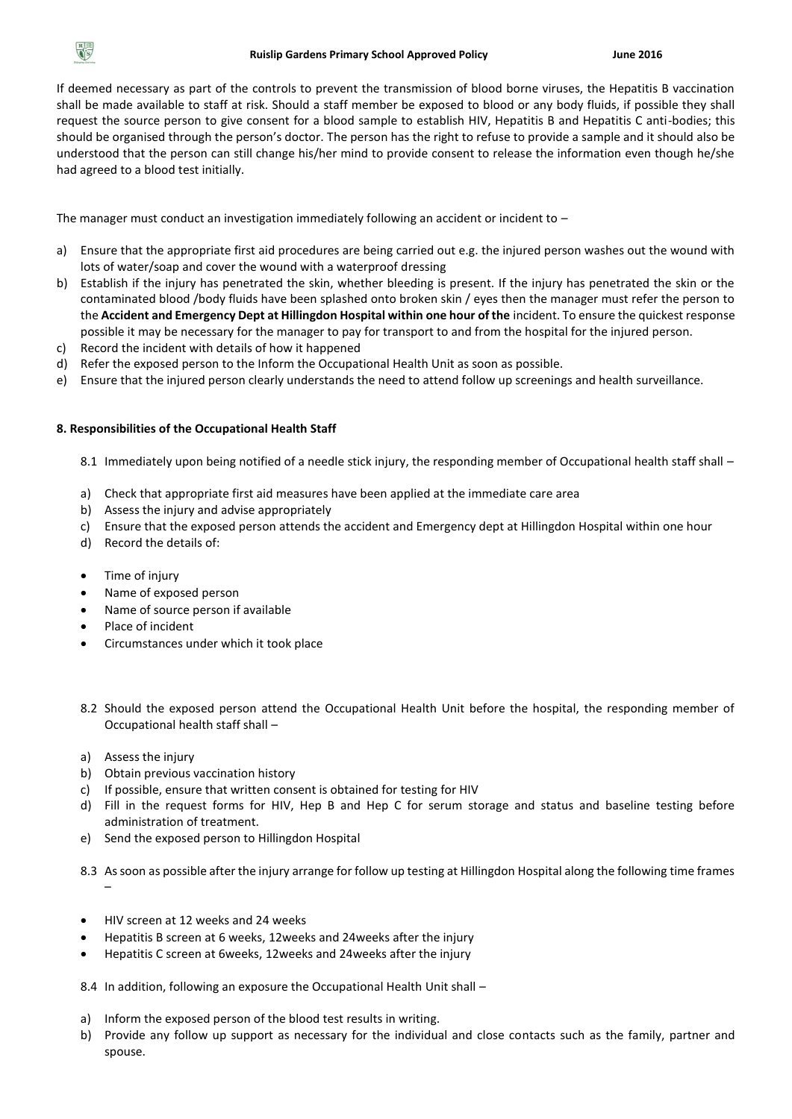

If deemed necessary as part of the controls to prevent the transmission of blood borne viruses, the Hepatitis B vaccination shall be made available to staff at risk. Should a staff member be exposed to blood or any body fluids, if possible they shall request the source person to give consent for a blood sample to establish HIV, Hepatitis B and Hepatitis C anti-bodies; this should be organised through the person's doctor. The person has the right to refuse to provide a sample and it should also be understood that the person can still change his/her mind to provide consent to release the information even though he/she had agreed to a blood test initially.

The manager must conduct an investigation immediately following an accident or incident to  $-$ 

- a) Ensure that the appropriate first aid procedures are being carried out e.g. the injured person washes out the wound with lots of water/soap and cover the wound with a waterproof dressing
- b) Establish if the injury has penetrated the skin, whether bleeding is present. If the injury has penetrated the skin or the contaminated blood /body fluids have been splashed onto broken skin / eyes then the manager must refer the person to the **Accident and Emergency Dept at Hillingdon Hospital within one hour of the** incident. To ensure the quickest response possible it may be necessary for the manager to pay for transport to and from the hospital for the injured person.
- c) Record the incident with details of how it happened
- d) Refer the exposed person to the Inform the Occupational Health Unit as soon as possible.
- e) Ensure that the injured person clearly understands the need to attend follow up screenings and health surveillance.

## **8. Responsibilities of the Occupational Health Staff**

8.1 Immediately upon being notified of a needle stick injury, the responding member of Occupational health staff shall –

- a) Check that appropriate first aid measures have been applied at the immediate care area
- b) Assess the injury and advise appropriately
- c) Ensure that the exposed person attends the accident and Emergency dept at Hillingdon Hospital within one hour
- d) Record the details of:
- Time of injury
- Name of exposed person
- Name of source person if available
- Place of incident
- Circumstances under which it took place
- 8.2 Should the exposed person attend the Occupational Health Unit before the hospital, the responding member of Occupational health staff shall –
- a) Assess the injury
- b) Obtain previous vaccination history
- c) If possible, ensure that written consent is obtained for testing for HIV
- d) Fill in the request forms for HIV, Hep B and Hep C for serum storage and status and baseline testing before administration of treatment.
- e) Send the exposed person to Hillingdon Hospital
- 8.3 As soon as possible after the injury arrange for follow up testing at Hillingdon Hospital along the following time frames –
- HIV screen at 12 weeks and 24 weeks
- Hepatitis B screen at 6 weeks, 12weeks and 24weeks after the injury
- Hepatitis C screen at 6weeks, 12weeks and 24weeks after the injury
- 8.4 In addition, following an exposure the Occupational Health Unit shall –
- a) Inform the exposed person of the blood test results in writing.
- b) Provide any follow up support as necessary for the individual and close contacts such as the family, partner and spouse.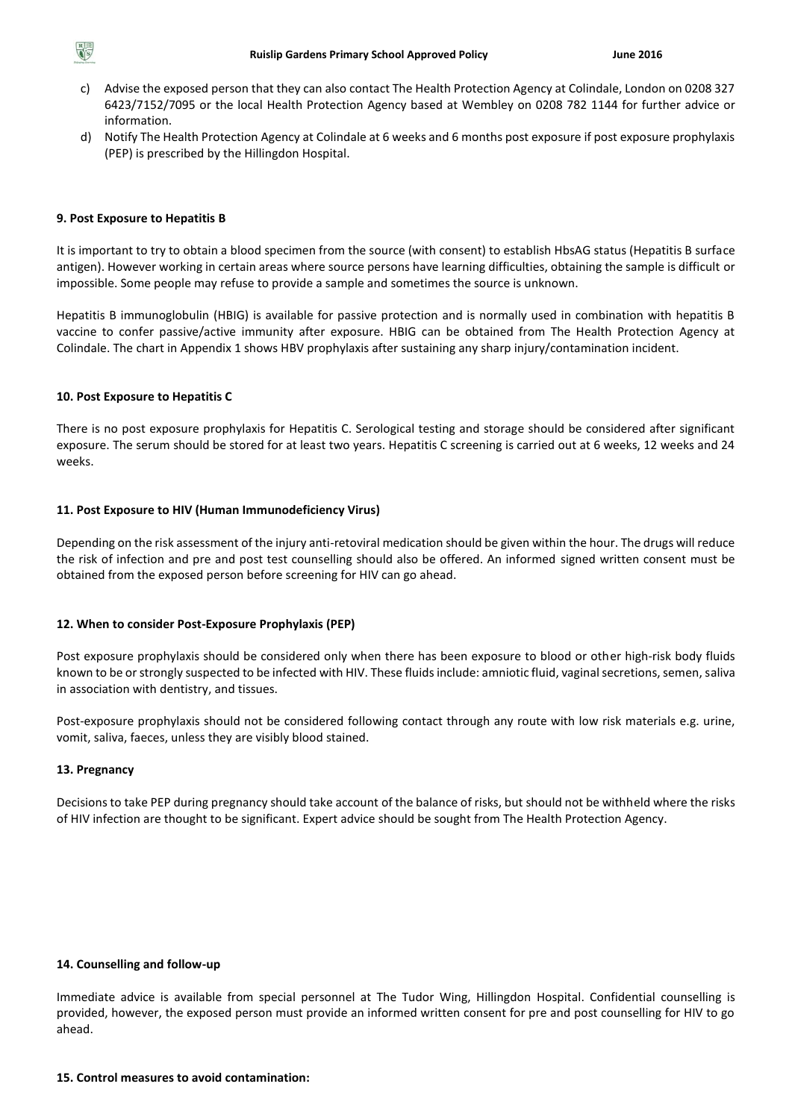

- c) Advise the exposed person that they can also contact The Health Protection Agency at Colindale, London on 0208 327 6423/7152/7095 or the local Health Protection Agency based at Wembley on 0208 782 1144 for further advice or information.
- d) Notify The Health Protection Agency at Colindale at 6 weeks and 6 months post exposure if post exposure prophylaxis (PEP) is prescribed by the Hillingdon Hospital.

# **9. Post Exposure to Hepatitis B**

It is important to try to obtain a blood specimen from the source (with consent) to establish HbsAG status (Hepatitis B surface antigen). However working in certain areas where source persons have learning difficulties, obtaining the sample is difficult or impossible. Some people may refuse to provide a sample and sometimes the source is unknown.

Hepatitis B immunoglobulin (HBIG) is available for passive protection and is normally used in combination with hepatitis B vaccine to confer passive/active immunity after exposure. HBIG can be obtained from The Health Protection Agency at Colindale. The chart in Appendix 1 shows HBV prophylaxis after sustaining any sharp injury/contamination incident.

# **10. Post Exposure to Hepatitis C**

There is no post exposure prophylaxis for Hepatitis C. Serological testing and storage should be considered after significant exposure. The serum should be stored for at least two years. Hepatitis C screening is carried out at 6 weeks, 12 weeks and 24 weeks.

# **11. Post Exposure to HIV (Human Immunodeficiency Virus)**

Depending on the risk assessment of the injury anti-retoviral medication should be given within the hour. The drugs will reduce the risk of infection and pre and post test counselling should also be offered. An informed signed written consent must be obtained from the exposed person before screening for HIV can go ahead.

## **12. When to consider Post-Exposure Prophylaxis (PEP)**

Post exposure prophylaxis should be considered only when there has been exposure to blood or other high-risk body fluids known to be or strongly suspected to be infected with HIV. These fluids include: amniotic fluid, vaginal secretions, semen, saliva in association with dentistry, and tissues.

Post-exposure prophylaxis should not be considered following contact through any route with low risk materials e.g. urine, vomit, saliva, faeces, unless they are visibly blood stained.

## **13. Pregnancy**

Decisions to take PEP during pregnancy should take account of the balance of risks, but should not be withheld where the risks of HIV infection are thought to be significant. Expert advice should be sought from The Health Protection Agency.

# **14. Counselling and follow-up**

Immediate advice is available from special personnel at The Tudor Wing, Hillingdon Hospital. Confidential counselling is provided, however, the exposed person must provide an informed written consent for pre and post counselling for HIV to go ahead.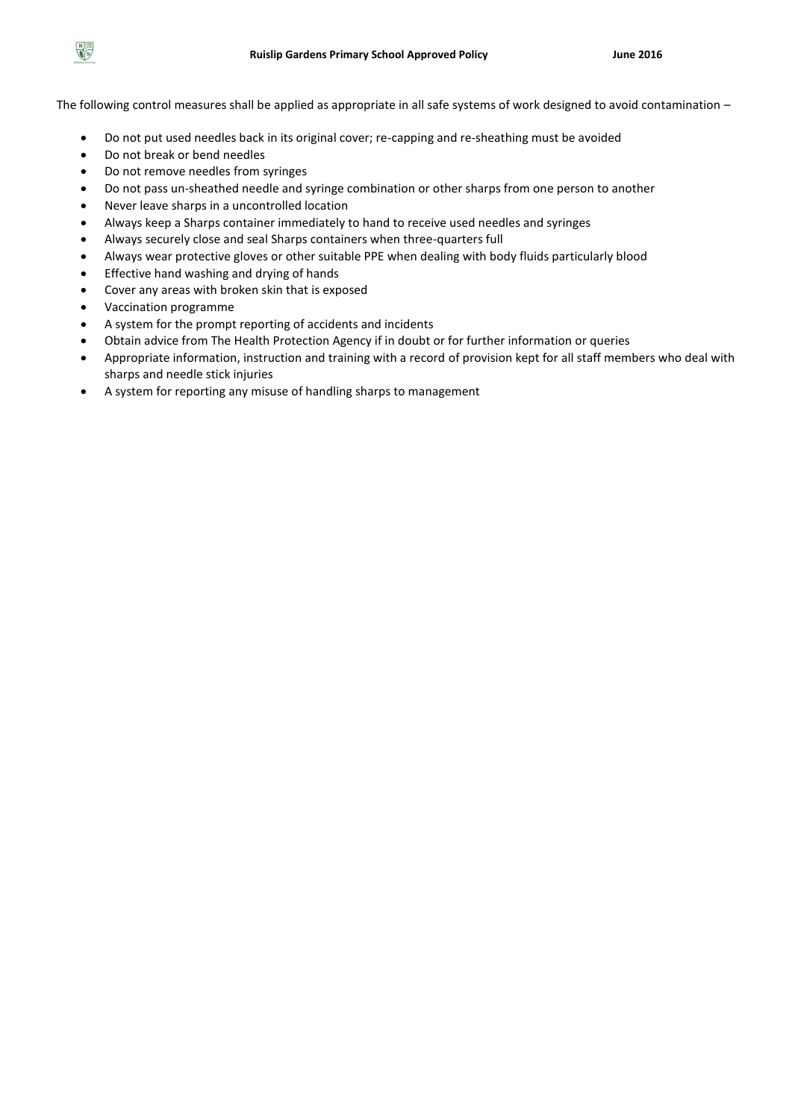

The following control measures shall be applied as appropriate in all safe systems of work designed to avoid contamination –

- Do not put used needles back in its original cover; re-capping and re-sheathing must be avoided
- Do not break or bend needles
- Do not remove needles from syringes
- Do not pass un-sheathed needle and syringe combination or other sharps from one person to another
- Never leave sharps in a uncontrolled location
- Always keep a Sharps container immediately to hand to receive used needles and syringes
- Always securely close and seal Sharps containers when three-quarters full
- Always wear protective gloves or other suitable PPE when dealing with body fluids particularly blood
- Effective hand washing and drying of hands
- Cover any areas with broken skin that is exposed
- Vaccination programme
- A system for the prompt reporting of accidents and incidents
- Obtain advice from The Health Protection Agency if in doubt or for further information or queries
- Appropriate information, instruction and training with a record of provision kept for all staff members who deal with sharps and needle stick injuries
- A system for reporting any misuse of handling sharps to management